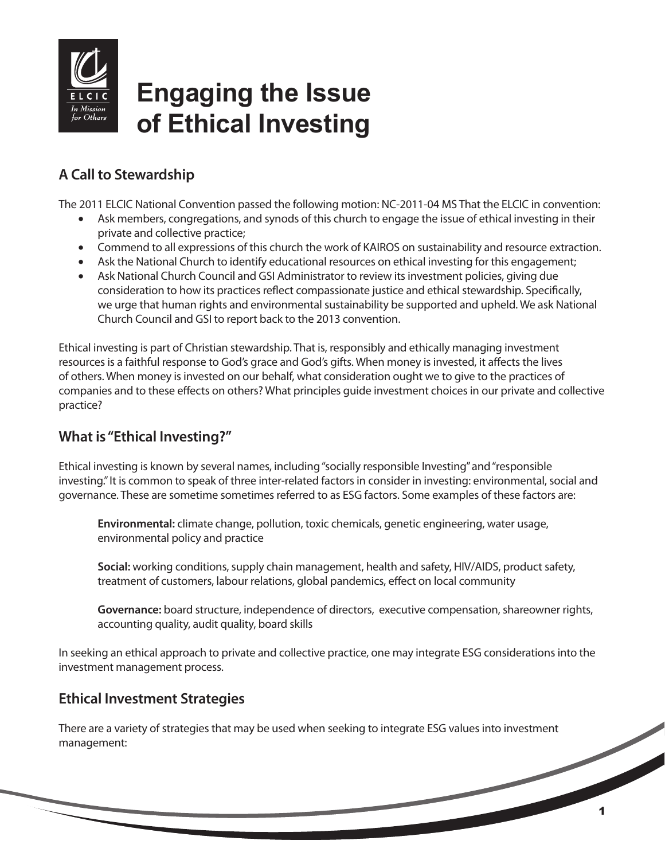

# **Engaging the Issue of Ethical Investing**

# **A Call to Stewardship**

The 2011 ELCIC National Convention passed the following motion: NC-2011-04 MS That the ELCIC in convention:

- Ask members, congregations, and synods of this church to engage the issue of ethical investing in their private and collective practice;
- Commend to all expressions of this church the work of KAIROS on sustainability and resource extraction.
- Ask the National Church to identify educational resources on ethical investing for this engagement;
- Ask National Church Council and GSI Administrator to review its investment policies, giving due consideration to how its practices reflect compassionate justice and ethical stewardship. Specifically, we urge that human rights and environmental sustainability be supported and upheld. We ask National Church Council and GSI to report back to the 2013 convention.

Ethical investing is part of Christian stewardship. That is, responsibly and ethically managing investment resources is a faithful response to God's grace and God's gifts. When money is invested, it affects the lives of others. When money is invested on our behalf, what consideration ought we to give to the practices of companies and to these effects on others? What principles guide investment choices in our private and collective practice?

## **What is "Ethical Investing?"**

Ethical investing is known by several names, including "socially responsible Investing" and "responsible investing." It is common to speak of three inter-related factors in consider in investing: environmental, social and governance. These are sometime sometimes referred to as ESG factors. Some examples of these factors are:

**Environmental:** climate change, pollution, toxic chemicals, genetic engineering, water usage, environmental policy and practice

**Social:** working conditions, supply chain management, health and safety, HIV/AIDS, product safety, treatment of customers, labour relations, global pandemics, effect on local community

**Governance:** board structure, independence of directors, executive compensation, shareowner rights, accounting quality, audit quality, board skills

In seeking an ethical approach to private and collective practice, one may integrate ESG considerations into the investment management process.

## **Ethical Investment Strategies**

There are a variety of strategies that may be used when seeking to integrate ESG values into investment management: